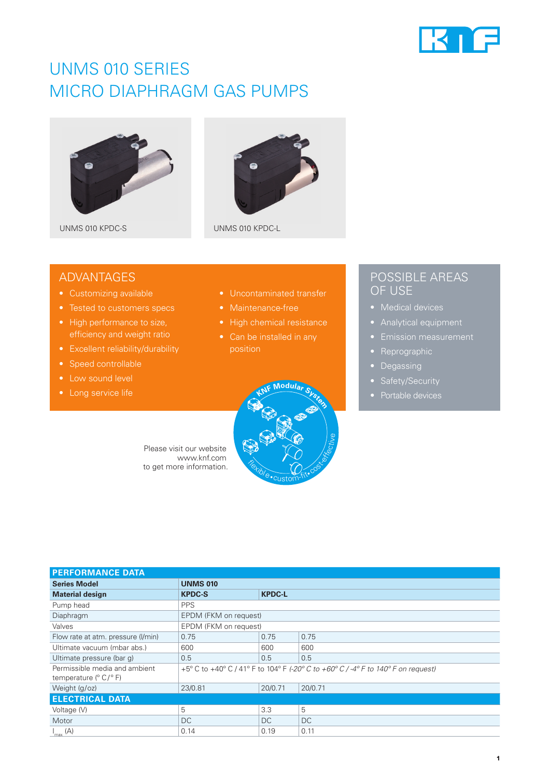

## UNMS 010 SERIES MICRO DIAPHRAGM GAS PUMPS





UNMS 010 KPDC-S UNMS 010 KPDC-L

## ADVANTAGES

- Customizing available
- 
- High performance to size, efficiency and weight ratio
- Excellent reliability/durability
- Speed controllable
- Low sound level
- 
- Uncontaminated transfer
- 
- 
- position



## POSSIBLE AREAS OF USE

- 
- 
- 
- Reprographic
- Degassing
- 
- 

Please visit our website www.knf.com to get more information.

| <b>PERFORMANCE DATA</b>                                 |                                                                                   |               |           |  |  |  |
|---------------------------------------------------------|-----------------------------------------------------------------------------------|---------------|-----------|--|--|--|
| <b>Series Model</b>                                     | <b>UNMS 010</b>                                                                   |               |           |  |  |  |
| <b>Material design</b>                                  | <b>KPDC-S</b>                                                                     | <b>KPDC-L</b> |           |  |  |  |
| Pump head                                               | <b>PPS</b>                                                                        |               |           |  |  |  |
| Diaphragm                                               | EPDM (FKM on request)                                                             |               |           |  |  |  |
| Valves                                                  | EPDM (FKM on request)                                                             |               |           |  |  |  |
| Flow rate at atm. pressure (I/min)                      | 0.75                                                                              | 0.75          | 0.75      |  |  |  |
| Ultimate vacuum (mbar abs.)                             | 600                                                                               | 600           | 600       |  |  |  |
| Ultimate pressure (bar q)                               | 0.5                                                                               | 0.5           | 0.5       |  |  |  |
| Permissible media and ambient<br>temperature $(° C)° F$ | +5° C to +40° C / 41° F to 104° F (-20° C to +60° C / -4° F to 140° F on request) |               |           |  |  |  |
| Weight (g/oz)                                           | 23/0.81                                                                           | 20/0.71       | 20/0.71   |  |  |  |
| <b>ELECTRICAL DATA</b>                                  |                                                                                   |               |           |  |  |  |
| Voltage (V)                                             | 5                                                                                 | 3.3           | 5         |  |  |  |
| Motor                                                   | <b>DC</b>                                                                         | DC.           | <b>DC</b> |  |  |  |
| $I_{\text{max}}(A)$                                     | 0.14                                                                              | 0.19          | 0.11      |  |  |  |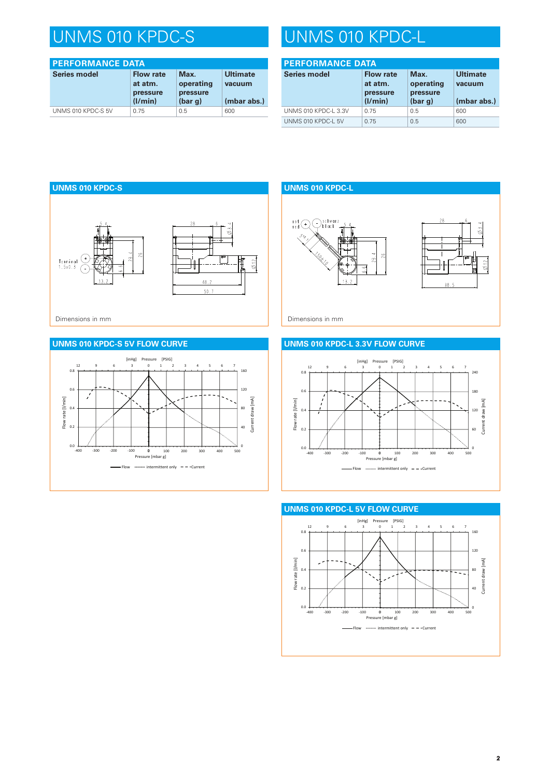# UNMS 010 KPDC-S UNMS 010 KPDC-L

| <b>PERFORMANCE DATA</b> |                                                    |                                          |                                          |  |  |
|-------------------------|----------------------------------------------------|------------------------------------------|------------------------------------------|--|--|
| <b>Series model</b>     | <b>Flow rate</b><br>at atm.<br>pressure<br>(1/min) | Max.<br>operating<br>pressure<br>(bar g) | <b>Ultimate</b><br>vacuum<br>(mbar abs.) |  |  |
| UNMS 010 KPDC-S 5V      | 0.75                                               | 0.5                                      | 600                                      |  |  |

| <b>PERFORMANCE DATA</b> |                                                    |                                          |                                          |  |  |
|-------------------------|----------------------------------------------------|------------------------------------------|------------------------------------------|--|--|
| <b>Series model</b>     | <b>Flow rate</b><br>at atm.<br>pressure<br>(1/min) | Max.<br>operating<br>pressure<br>(bar g) | <b>Ultimate</b><br>vacuum<br>(mbar abs.) |  |  |
| UNMS 010 KPDC-L 3.3V    | 0.75                                               | 0.5                                      | 600                                      |  |  |
| UNMS 010 KPDC-L 5V      | 0.75                                               | 0.5                                      | 600                                      |  |  |



## **UNMS 010 KPDC-S 5V FLOW CURVE**



**UNMS 010 KPDC-L**



 $\emptyset$ 3.4

 $\phi$  12

### **UNMS 010 KPDC-L 3.3V FLOW CURVE**